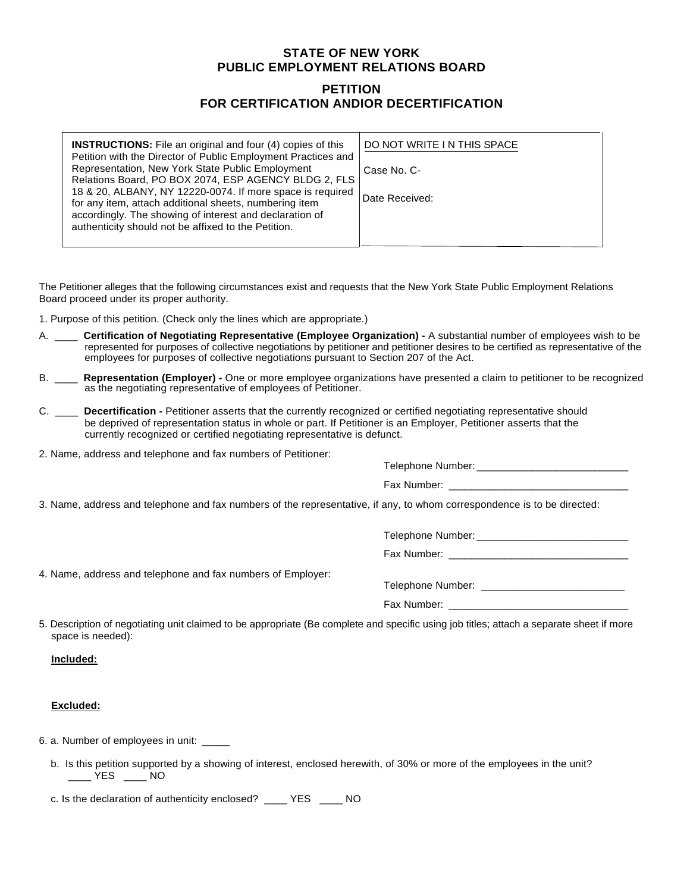## **STATE OF NEW YORK PUBLIC EMPLOYMENT RELATIONS BOARD**

## **PETITION FOR CERTIFICATION ANDIOR DECERTIFICATION**

| <b>INSTRUCTIONS:</b> File an original and four (4) copies of this<br>Petition with the Director of Public Employment Practices and | DO NOT WRITE I N THIS SPACE |
|------------------------------------------------------------------------------------------------------------------------------------|-----------------------------|
| Representation, New York State Public Employment<br>Relations Board, PO BOX 2074, ESP AGENCY BLDG 2, FLS                           | Case No. C-                 |
| 18 & 20, ALBANY, NY 12220-0074. If more space is required<br>for any item, attach additional sheets, numbering item                | Date Received:              |
| accordingly. The showing of interest and declaration of<br>authenticity should not be affixed to the Petition.                     |                             |

The Petitioner alleges that the following circumstances exist and requests that the New York State Public Employment Relations Board proceed under its proper authority.

1. Purpose of this petition. (Check only the lines which are appropriate.)

- A. \_\_\_\_ **Certification of Negotiating Representative (Employee Organization)** A substantial number of employees wish to be represented for purposes of collective negotiations by petitioner and petitioner desires to be certified as representative of the employees for purposes of collective negotiations pursuant to Section 207 of the Act.
- B. \_\_\_\_ **Representation (Employer)** One or more employee organizations have presented a claim to petitioner to be recognized as the negotiating representative of employees of Petitioner.
- C. \_\_\_\_ **Decertification** Petitioner asserts that the currently recognized or certified negotiating representative should be deprived of representation status in whole or part. If Petitioner is an Employer, Petitioner asserts that the currently recognized or certified negotiating representative is defunct.
- 2. Name, address and telephone and fax numbers of Petitioner:

Telephone Number:

| Fax Number: |  |
|-------------|--|
|             |  |

3. Name, address and telephone and fax numbers of the representative, if any, to whom correspondence is to be directed:

Telephone Number:  $\blacksquare$ 

Fax Number:

4. Name, address and telephone and fax numbers of Employer:

Telephone Number: **William** 

Fax Number:

5. Description of negotiating unit claimed to be appropriate (Be complete and specific using job titles; attach a separate sheet if more space is needed):

## **Included:**

## **Excluded:**

6. a. Number of employees in unit: \_\_\_\_\_

 b. Is this petition supported by a showing of interest, enclosed herewith, of 30% or more of the employees in the unit? \_\_\_\_ YES \_\_\_\_ NO

c. Is the declaration of authenticity enclosed? \_\_\_\_ YES \_\_\_\_ NO